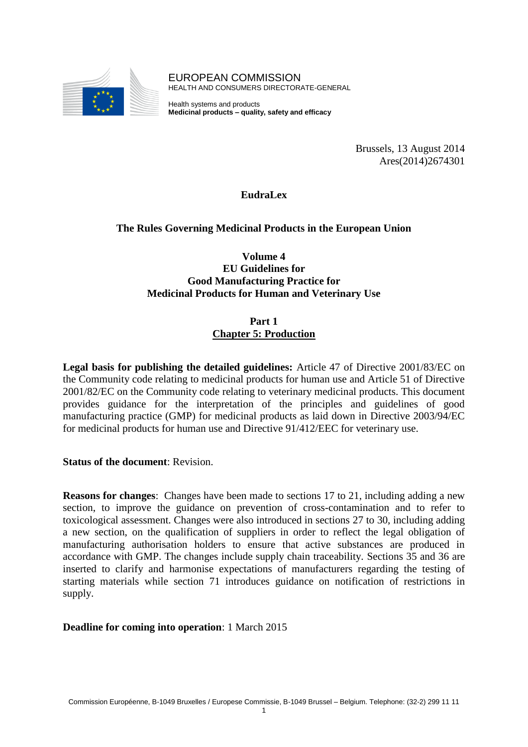

EUROPEAN COMMISSION HEALTH AND CONSUMERS DIRECTORATE-GENERAL

Health systems and products **Medicinal products – quality, safety and efficacy**

> Brussels, 13 August 2014 Ares(2014)2674301

**EudraLex**

# **The Rules Governing Medicinal Products in the European Union**

**Volume 4 EU Guidelines for Good Manufacturing Practice for Medicinal Products for Human and Veterinary Use**

# **Part 1 Chapter 5: Production**

**Legal basis for publishing the detailed guidelines:** Article 47 of Directive 2001/83/EC on the Community code relating to medicinal products for human use and Article 51 of Directive 2001/82/EC on the Community code relating to veterinary medicinal products. This document provides guidance for the interpretation of the principles and guidelines of good manufacturing practice (GMP) for medicinal products as laid down in Directive 2003/94/EC for medicinal products for human use and Directive 91/412/EEC for veterinary use.

**Status of the document**: Revision.

**Reasons for changes**: Changes have been made to sections 17 to 21, including adding a new section, to improve the guidance on prevention of cross-contamination and to refer to toxicological assessment. Changes were also introduced in sections 27 to 30, including adding a new section, on the qualification of suppliers in order to reflect the legal obligation of manufacturing authorisation holders to ensure that active substances are produced in accordance with GMP. The changes include supply chain traceability. Sections 35 and 36 are inserted to clarify and harmonise expectations of manufacturers regarding the testing of starting materials while section 71 introduces guidance on notification of restrictions in supply.

**Deadline for coming into operation**: 1 March 2015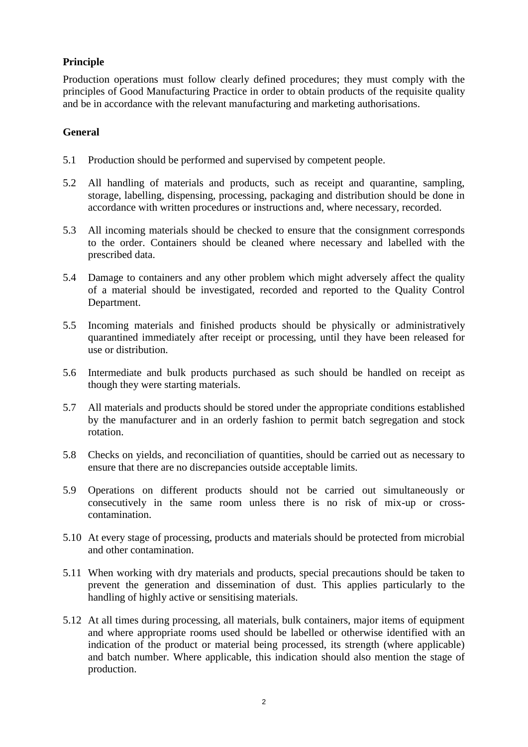# **Principle**

Production operations must follow clearly defined procedures; they must comply with the principles of Good Manufacturing Practice in order to obtain products of the requisite quality and be in accordance with the relevant manufacturing and marketing authorisations.

## **General**

- 5.1 Production should be performed and supervised by competent people.
- 5.2 All handling of materials and products, such as receipt and quarantine, sampling, storage, labelling, dispensing, processing, packaging and distribution should be done in accordance with written procedures or instructions and, where necessary, recorded.
- 5.3 All incoming materials should be checked to ensure that the consignment corresponds to the order. Containers should be cleaned where necessary and labelled with the prescribed data.
- 5.4 Damage to containers and any other problem which might adversely affect the quality of a material should be investigated, recorded and reported to the Quality Control Department.
- 5.5 Incoming materials and finished products should be physically or administratively quarantined immediately after receipt or processing, until they have been released for use or distribution.
- 5.6 Intermediate and bulk products purchased as such should be handled on receipt as though they were starting materials.
- 5.7 All materials and products should be stored under the appropriate conditions established by the manufacturer and in an orderly fashion to permit batch segregation and stock rotation.
- 5.8 Checks on yields, and reconciliation of quantities, should be carried out as necessary to ensure that there are no discrepancies outside acceptable limits.
- 5.9 Operations on different products should not be carried out simultaneously or consecutively in the same room unless there is no risk of mix-up or crosscontamination.
- 5.10 At every stage of processing, products and materials should be protected from microbial and other contamination.
- 5.11 When working with dry materials and products, special precautions should be taken to prevent the generation and dissemination of dust. This applies particularly to the handling of highly active or sensitising materials.
- 5.12 At all times during processing, all materials, bulk containers, major items of equipment and where appropriate rooms used should be labelled or otherwise identified with an indication of the product or material being processed, its strength (where applicable) and batch number. Where applicable, this indication should also mention the stage of production.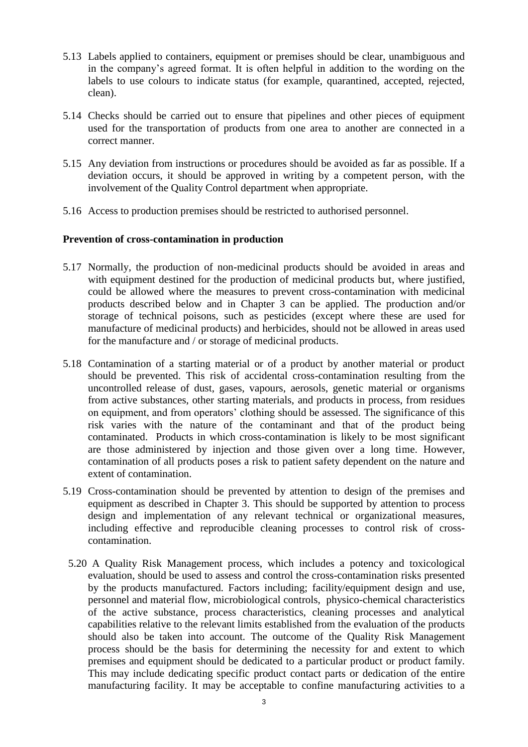- 5.13 Labels applied to containers, equipment or premises should be clear, unambiguous and in the company's agreed format. It is often helpful in addition to the wording on the labels to use colours to indicate status (for example, quarantined, accepted, rejected, clean).
- 5.14 Checks should be carried out to ensure that pipelines and other pieces of equipment used for the transportation of products from one area to another are connected in a correct manner.
- 5.15 Any deviation from instructions or procedures should be avoided as far as possible. If a deviation occurs, it should be approved in writing by a competent person, with the involvement of the Quality Control department when appropriate.
- 5.16 Access to production premises should be restricted to authorised personnel.

## **Prevention of cross-contamination in production**

- 5.17 Normally, the production of non-medicinal products should be avoided in areas and with equipment destined for the production of medicinal products but, where justified, could be allowed where the measures to prevent cross-contamination with medicinal products described below and in Chapter 3 can be applied. The production and/or storage of technical poisons, such as pesticides (except where these are used for manufacture of medicinal products) and herbicides, should not be allowed in areas used for the manufacture and / or storage of medicinal products.
- 5.18 Contamination of a starting material or of a product by another material or product should be prevented. This risk of accidental cross-contamination resulting from the uncontrolled release of dust, gases, vapours, aerosols, genetic material or organisms from active substances, other starting materials, and products in process, from residues on equipment, and from operators' clothing should be assessed. The significance of this risk varies with the nature of the contaminant and that of the product being contaminated. Products in which cross-contamination is likely to be most significant are those administered by injection and those given over a long time. However, contamination of all products poses a risk to patient safety dependent on the nature and extent of contamination.
- 5.19 Cross-contamination should be prevented by attention to design of the premises and equipment as described in Chapter 3. This should be supported by attention to process design and implementation of any relevant technical or organizational measures, including effective and reproducible cleaning processes to control risk of crosscontamination.
	- 5.20 A Quality Risk Management process, which includes a potency and toxicological evaluation, should be used to assess and control the cross-contamination risks presented by the products manufactured. Factors including; facility/equipment design and use, personnel and material flow, microbiological controls, physico-chemical characteristics of the active substance, process characteristics, cleaning processes and analytical capabilities relative to the relevant limits established from the evaluation of the products should also be taken into account. The outcome of the Quality Risk Management process should be the basis for determining the necessity for and extent to which premises and equipment should be dedicated to a particular product or product family. This may include dedicating specific product contact parts or dedication of the entire manufacturing facility. It may be acceptable to confine manufacturing activities to a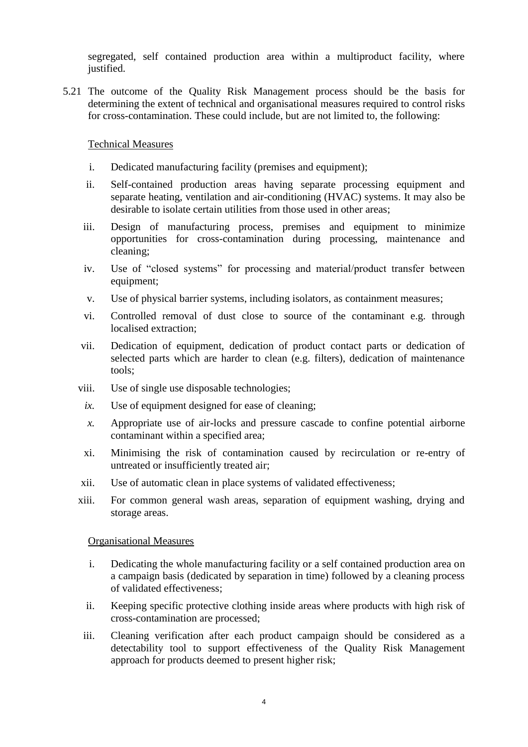segregated, self contained production area within a multiproduct facility, where justified.

5.21 The outcome of the Quality Risk Management process should be the basis for determining the extent of technical and organisational measures required to control risks for cross-contamination. These could include, but are not limited to, the following:

## Technical Measures

- i. Dedicated manufacturing facility (premises and equipment);
- ii. Self-contained production areas having separate processing equipment and separate heating, ventilation and air-conditioning (HVAC) systems. It may also be desirable to isolate certain utilities from those used in other areas;
- iii. Design of manufacturing process, premises and equipment to minimize opportunities for cross-contamination during processing, maintenance and cleaning;
- iv. Use of "closed systems" for processing and material/product transfer between equipment;
- v. Use of physical barrier systems, including isolators, as containment measures;
- vi. Controlled removal of dust close to source of the contaminant e.g. through localised extraction;
- vii. Dedication of equipment, dedication of product contact parts or dedication of selected parts which are harder to clean (e.g. filters), dedication of maintenance tools;
- viii. Use of single use disposable technologies;
	- *ix.* Use of equipment designed for ease of cleaning;
	- *x.* Appropriate use of air-locks and pressure cascade to confine potential airborne contaminant within a specified area;
	- xi. Minimising the risk of contamination caused by recirculation or re-entry of untreated or insufficiently treated air;
- xii. Use of automatic clean in place systems of validated effectiveness;
- xiii. For common general wash areas, separation of equipment washing, drying and storage areas.

#### Organisational Measures

- i. Dedicating the whole manufacturing facility or a self contained production area on a campaign basis (dedicated by separation in time) followed by a cleaning process of validated effectiveness;
- ii. Keeping specific protective clothing inside areas where products with high risk of cross-contamination are processed;
- iii. Cleaning verification after each product campaign should be considered as a detectability tool to support effectiveness of the Quality Risk Management approach for products deemed to present higher risk;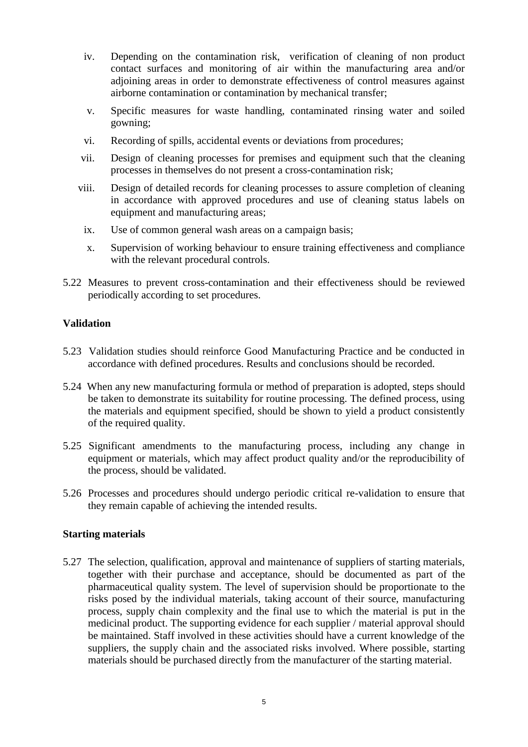- iv. Depending on the contamination risk, verification of cleaning of non product contact surfaces and monitoring of air within the manufacturing area and/or adjoining areas in order to demonstrate effectiveness of control measures against airborne contamination or contamination by mechanical transfer;
- v. Specific measures for waste handling, contaminated rinsing water and soiled gowning;
- vi. Recording of spills, accidental events or deviations from procedures;
- vii. Design of cleaning processes for premises and equipment such that the cleaning processes in themselves do not present a cross-contamination risk;
- viii. Design of detailed records for cleaning processes to assure completion of cleaning in accordance with approved procedures and use of cleaning status labels on equipment and manufacturing areas;
	- ix. Use of common general wash areas on a campaign basis;
	- x. Supervision of working behaviour to ensure training effectiveness and compliance with the relevant procedural controls.
- 5.22 Measures to prevent cross-contamination and their effectiveness should be reviewed periodically according to set procedures.

## **Validation**

- 5.23 Validation studies should reinforce Good Manufacturing Practice and be conducted in accordance with defined procedures. Results and conclusions should be recorded.
- 5.24 When any new manufacturing formula or method of preparation is adopted, steps should be taken to demonstrate its suitability for routine processing. The defined process, using the materials and equipment specified, should be shown to yield a product consistently of the required quality.
- 5.25 Significant amendments to the manufacturing process, including any change in equipment or materials, which may affect product quality and/or the reproducibility of the process, should be validated.
- 5.26 Processes and procedures should undergo periodic critical re-validation to ensure that they remain capable of achieving the intended results.

#### **Starting materials**

5.27 The selection, qualification, approval and maintenance of suppliers of starting materials, together with their purchase and acceptance, should be documented as part of the pharmaceutical quality system. The level of supervision should be proportionate to the risks posed by the individual materials, taking account of their source, manufacturing process, supply chain complexity and the final use to which the material is put in the medicinal product. The supporting evidence for each supplier / material approval should be maintained. Staff involved in these activities should have a current knowledge of the suppliers, the supply chain and the associated risks involved. Where possible, starting materials should be purchased directly from the manufacturer of the starting material.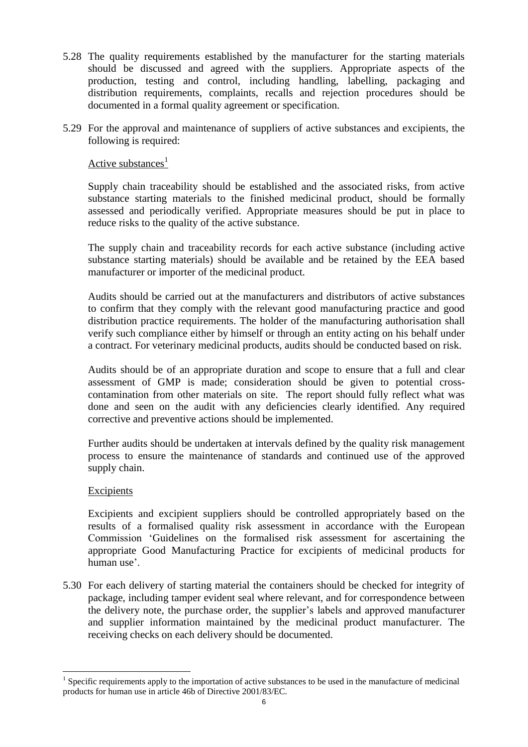- 5.28 The quality requirements established by the manufacturer for the starting materials should be discussed and agreed with the suppliers. Appropriate aspects of the production, testing and control, including handling, labelling, packaging and distribution requirements, complaints, recalls and rejection procedures should be documented in a formal quality agreement or specification.
- 5.29 For the approval and maintenance of suppliers of active substances and excipients, the following is required:

## Active substances $<sup>1</sup>$ </sup>

Supply chain traceability should be established and the associated risks, from active substance starting materials to the finished medicinal product, should be formally assessed and periodically verified. Appropriate measures should be put in place to reduce risks to the quality of the active substance.

The supply chain and traceability records for each active substance (including active substance starting materials) should be available and be retained by the EEA based manufacturer or importer of the medicinal product.

Audits should be carried out at the manufacturers and distributors of active substances to confirm that they comply with the relevant good manufacturing practice and good distribution practice requirements. The holder of the manufacturing authorisation shall verify such compliance either by himself or through an entity acting on his behalf under a contract. For veterinary medicinal products, audits should be conducted based on risk.

Audits should be of an appropriate duration and scope to ensure that a full and clear assessment of GMP is made; consideration should be given to potential crosscontamination from other materials on site. The report should fully reflect what was done and seen on the audit with any deficiencies clearly identified. Any required corrective and preventive actions should be implemented.

Further audits should be undertaken at intervals defined by the quality risk management process to ensure the maintenance of standards and continued use of the approved supply chain.

#### Excipients

l

Excipients and excipient suppliers should be controlled appropriately based on the results of a formalised quality risk assessment in accordance with the European Commission 'Guidelines on the formalised risk assessment for ascertaining the appropriate Good Manufacturing Practice for excipients of medicinal products for human use'.

5.30 For each delivery of starting material the containers should be checked for integrity of package, including tamper evident seal where relevant, and for correspondence between the delivery note, the purchase order, the supplier's labels and approved manufacturer and supplier information maintained by the medicinal product manufacturer. The receiving checks on each delivery should be documented.

<sup>&</sup>lt;sup>1</sup> Specific requirements apply to the importation of active substances to be used in the manufacture of medicinal products for human use in article 46b of Directive 2001/83/EC.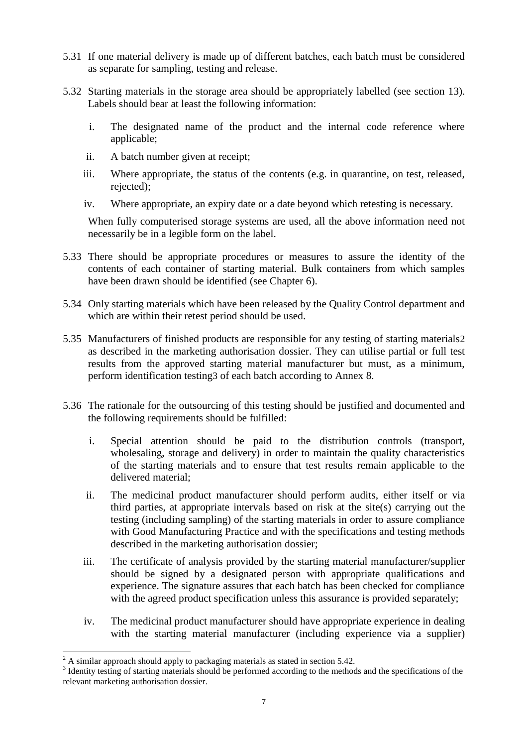- 5.31 If one material delivery is made up of different batches, each batch must be considered as separate for sampling, testing and release.
- 5.32 Starting materials in the storage area should be appropriately labelled (see section 13). Labels should bear at least the following information:
	- i. The designated name of the product and the internal code reference where applicable;
	- ii. A batch number given at receipt;
	- iii. Where appropriate, the status of the contents (e.g. in quarantine, on test, released, rejected);
	- iv. Where appropriate, an expiry date or a date beyond which retesting is necessary.

When fully computerised storage systems are used, all the above information need not necessarily be in a legible form on the label.

- 5.33 There should be appropriate procedures or measures to assure the identity of the contents of each container of starting material. Bulk containers from which samples have been drawn should be identified (see Chapter 6).
- 5.34 Only starting materials which have been released by the Quality Control department and which are within their retest period should be used.
- 5.35 Manufacturers of finished products are responsible for any testing of starting materials2 as described in the marketing authorisation dossier. They can utilise partial or full test results from the approved starting material manufacturer but must, as a minimum, perform identification testing3 of each batch according to Annex 8.
- 5.36 The rationale for the outsourcing of this testing should be justified and documented and the following requirements should be fulfilled:
	- i. Special attention should be paid to the distribution controls (transport, wholesaling, storage and delivery) in order to maintain the quality characteristics of the starting materials and to ensure that test results remain applicable to the delivered material;
	- ii. The medicinal product manufacturer should perform audits, either itself or via third parties, at appropriate intervals based on risk at the site(s) carrying out the testing (including sampling) of the starting materials in order to assure compliance with Good Manufacturing Practice and with the specifications and testing methods described in the marketing authorisation dossier;
	- iii. The certificate of analysis provided by the starting material manufacturer/supplier should be signed by a designated person with appropriate qualifications and experience. The signature assures that each batch has been checked for compliance with the agreed product specification unless this assurance is provided separately;
	- iv. The medicinal product manufacturer should have appropriate experience in dealing with the starting material manufacturer (including experience via a supplier)

 $\overline{a}$ 

 $2^{2}$  A similar approach should apply to packaging materials as stated in section 5.42.

<sup>&</sup>lt;sup>3</sup> Identity testing of starting materials should be performed according to the methods and the specifications of the relevant marketing authorisation dossier.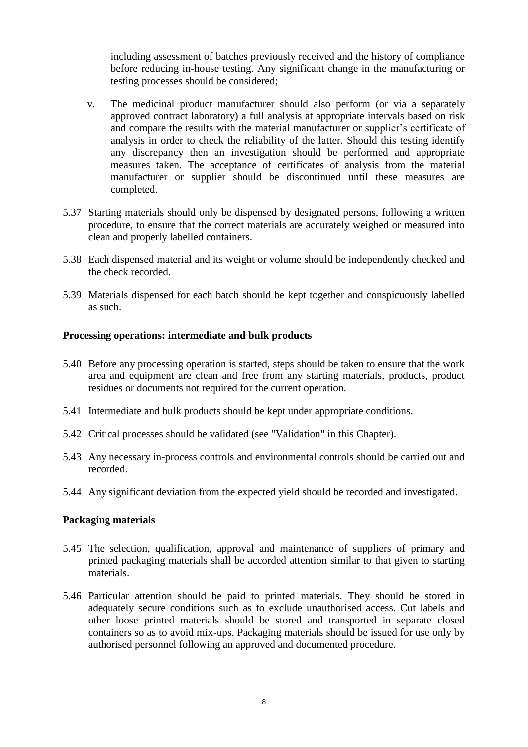including assessment of batches previously received and the history of compliance before reducing in-house testing. Any significant change in the manufacturing or testing processes should be considered;

- v. The medicinal product manufacturer should also perform (or via a separately approved contract laboratory) a full analysis at appropriate intervals based on risk and compare the results with the material manufacturer or supplier's certificate of analysis in order to check the reliability of the latter. Should this testing identify any discrepancy then an investigation should be performed and appropriate measures taken. The acceptance of certificates of analysis from the material manufacturer or supplier should be discontinued until these measures are completed.
- 5.37 Starting materials should only be dispensed by designated persons, following a written procedure, to ensure that the correct materials are accurately weighed or measured into clean and properly labelled containers.
- 5.38 Each dispensed material and its weight or volume should be independently checked and the check recorded.
- 5.39 Materials dispensed for each batch should be kept together and conspicuously labelled as such.

#### **Processing operations: intermediate and bulk products**

- 5.40 Before any processing operation is started, steps should be taken to ensure that the work area and equipment are clean and free from any starting materials, products, product residues or documents not required for the current operation.
- 5.41 Intermediate and bulk products should be kept under appropriate conditions.
- 5.42 Critical processes should be validated (see "Validation" in this Chapter).
- 5.43 Any necessary in-process controls and environmental controls should be carried out and recorded.
- 5.44 Any significant deviation from the expected yield should be recorded and investigated.

#### **Packaging materials**

- 5.45 The selection, qualification, approval and maintenance of suppliers of primary and printed packaging materials shall be accorded attention similar to that given to starting materials.
- 5.46 Particular attention should be paid to printed materials. They should be stored in adequately secure conditions such as to exclude unauthorised access. Cut labels and other loose printed materials should be stored and transported in separate closed containers so as to avoid mix-ups. Packaging materials should be issued for use only by authorised personnel following an approved and documented procedure.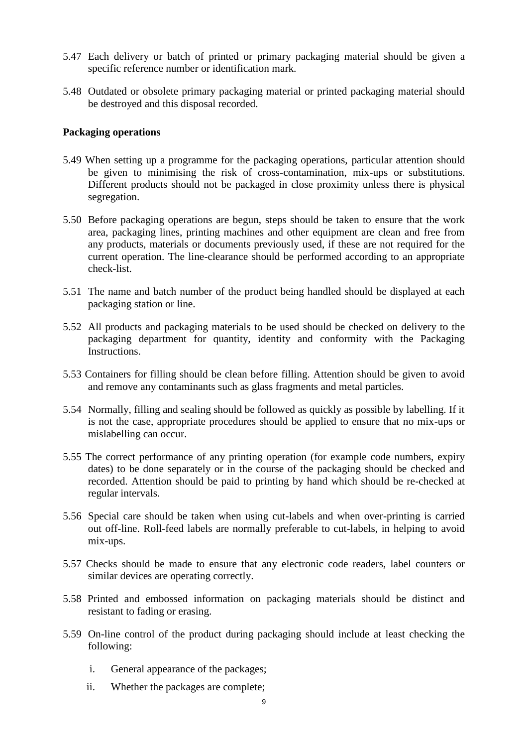- 5.47 Each delivery or batch of printed or primary packaging material should be given a specific reference number or identification mark.
- 5.48 Outdated or obsolete primary packaging material or printed packaging material should be destroyed and this disposal recorded.

## **Packaging operations**

- 5.49 When setting up a programme for the packaging operations, particular attention should be given to minimising the risk of cross-contamination, mix-ups or substitutions. Different products should not be packaged in close proximity unless there is physical segregation.
- 5.50 Before packaging operations are begun, steps should be taken to ensure that the work area, packaging lines, printing machines and other equipment are clean and free from any products, materials or documents previously used, if these are not required for the current operation. The line-clearance should be performed according to an appropriate check-list.
- 5.51 The name and batch number of the product being handled should be displayed at each packaging station or line.
- 5.52 All products and packaging materials to be used should be checked on delivery to the packaging department for quantity, identity and conformity with the Packaging Instructions.
- 5.53 Containers for filling should be clean before filling. Attention should be given to avoid and remove any contaminants such as glass fragments and metal particles.
- 5.54 Normally, filling and sealing should be followed as quickly as possible by labelling. If it is not the case, appropriate procedures should be applied to ensure that no mix-ups or mislabelling can occur.
- 5.55 The correct performance of any printing operation (for example code numbers, expiry dates) to be done separately or in the course of the packaging should be checked and recorded. Attention should be paid to printing by hand which should be re-checked at regular intervals.
- 5.56 Special care should be taken when using cut-labels and when over-printing is carried out off-line. Roll-feed labels are normally preferable to cut-labels, in helping to avoid mix-ups.
- 5.57 Checks should be made to ensure that any electronic code readers, label counters or similar devices are operating correctly.
- 5.58 Printed and embossed information on packaging materials should be distinct and resistant to fading or erasing.
- 5.59 On-line control of the product during packaging should include at least checking the following:
	- i. General appearance of the packages;
	- ii. Whether the packages are complete;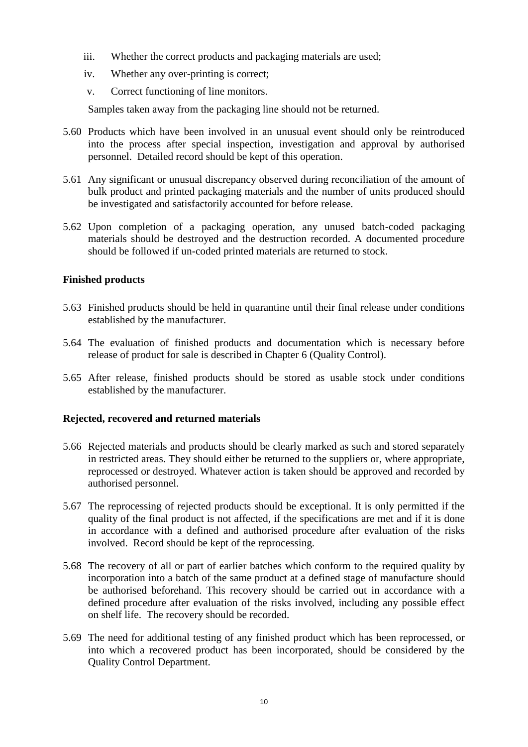- iii. Whether the correct products and packaging materials are used;
- iv. Whether any over-printing is correct;
- v. Correct functioning of line monitors.

Samples taken away from the packaging line should not be returned.

- 5.60 Products which have been involved in an unusual event should only be reintroduced into the process after special inspection, investigation and approval by authorised personnel. Detailed record should be kept of this operation.
- 5.61 Any significant or unusual discrepancy observed during reconciliation of the amount of bulk product and printed packaging materials and the number of units produced should be investigated and satisfactorily accounted for before release.
- 5.62 Upon completion of a packaging operation, any unused batch-coded packaging materials should be destroyed and the destruction recorded. A documented procedure should be followed if un-coded printed materials are returned to stock.

# **Finished products**

- 5.63 Finished products should be held in quarantine until their final release under conditions established by the manufacturer.
- 5.64 The evaluation of finished products and documentation which is necessary before release of product for sale is described in Chapter 6 (Quality Control).
- 5.65 After release, finished products should be stored as usable stock under conditions established by the manufacturer.

#### **Rejected, recovered and returned materials**

- 5.66 Rejected materials and products should be clearly marked as such and stored separately in restricted areas. They should either be returned to the suppliers or, where appropriate, reprocessed or destroyed. Whatever action is taken should be approved and recorded by authorised personnel.
- 5.67 The reprocessing of rejected products should be exceptional. It is only permitted if the quality of the final product is not affected, if the specifications are met and if it is done in accordance with a defined and authorised procedure after evaluation of the risks involved. Record should be kept of the reprocessing.
- 5.68 The recovery of all or part of earlier batches which conform to the required quality by incorporation into a batch of the same product at a defined stage of manufacture should be authorised beforehand. This recovery should be carried out in accordance with a defined procedure after evaluation of the risks involved, including any possible effect on shelf life. The recovery should be recorded.
- 5.69 The need for additional testing of any finished product which has been reprocessed, or into which a recovered product has been incorporated, should be considered by the Quality Control Department.